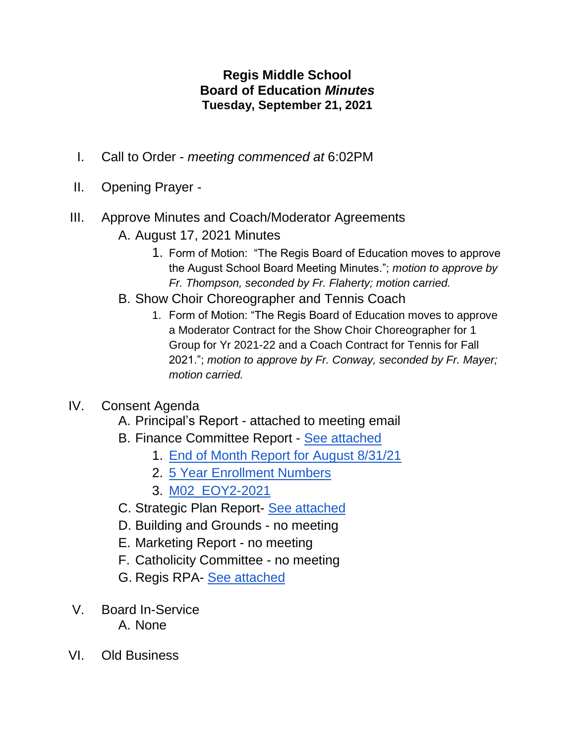## **Regis Middle School Board of Education** *Minutes* **Tuesday, September 21, 2021**

- I. Call to Order *meeting commenced at* 6:02PM
- II. Opening Prayer -
- III. Approve Minutes and Coach/Moderator Agreements A. August 17, 2021 Minutes
	- 1. Form of Motion: "The Regis Board of Education moves to approve the August School Board Meeting Minutes."; *motion to approve by Fr. Thompson, seconded by Fr. Flaherty; motion carried.*
	- B. Show Choir Choreographer and Tennis Coach
		- 1. Form of Motion: "The Regis Board of Education moves to approve a Moderator Contract for the Show Choir Choreographer for 1 Group for Yr 2021-22 and a Coach Contract for Tennis for Fall 2021."; *motion to approve by Fr. Conway, seconded by Fr. Mayer; motion carried.*

## IV. Consent Agenda

- A. Principal's Report attached to meeting email
- B. Finance Committee Report [See attached](https://docs.google.com/spreadsheets/d/1oNb0wpBq1N0W8OYNLlWM3CpONWVaFxo-XObegFKerSo/edit?usp=sharing)
	- 1. [End of Month Report for August 8/31/21](https://drive.google.com/drive/folders/1s0vny8FWy6unmo54JziZ4QFEyOa9ilUS)
	- 2. [5 Year Enrollment Numbers](https://drive.google.com/drive/folders/1s0vny8FWy6unmo54JziZ4QFEyOa9ilUS)
	- 3. [M02\\_EOY2-2021](https://docs.google.com/spreadsheets/d/1jHRe3fRMD1aZs7tWxHzD3lAph04bIaoL/edit?usp=sharing&ouid=112946512989152364891&rtpof=true&sd=true)
- C. Strategic Plan Report- [See attached](https://docs.google.com/document/d/1MWgUT6RsYNr2iwn0lVQRLDfUJlO6Ae31ro5lOJxUIzQ/edit)
- D. Building and Grounds no meeting
- E. Marketing Report no meeting
- F. Catholicity Committee no meeting
- G. Regis RPA- [See attached](https://docs.google.com/document/d/1TCvLCJk8L2up4pDJPn-CNXNDglBAe8LC/edit?usp=sharing&ouid=105798630113587834979&rtpof=true&sd=true)
- V. Board In-Service A. None
- VI. Old Business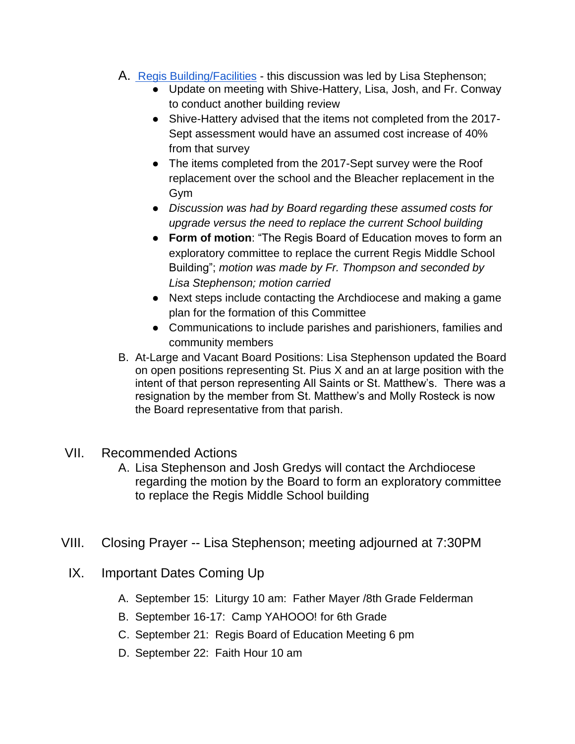- A. [Regis Building/Facilities](https://docs.google.com/presentation/d/1MnLf0X0o5RVlos8z5ryh7ofp2-rmhkqm/edit?usp=sharing&ouid=105798630113587834979&rtpof=true&sd=true) this discussion was led by Lisa Stephenson;
	- Update on meeting with Shive-Hattery, Lisa, Josh, and Fr. Conway to conduct another building review
	- Shive-Hattery advised that the items not completed from the 2017- Sept assessment would have an assumed cost increase of 40% from that survey
	- The items completed from the 2017-Sept survey were the Roof replacement over the school and the Bleacher replacement in the Gym
	- *Discussion was had by Board regarding these assumed costs for upgrade versus the need to replace the current School building*
	- **Form of motion**: "The Regis Board of Education moves to form an exploratory committee to replace the current Regis Middle School Building"; *motion was made by Fr. Thompson and seconded by Lisa Stephenson; motion carried*
	- Next steps include contacting the Archdiocese and making a game plan for the formation of this Committee
	- Communications to include parishes and parishioners, families and community members
- B. At-Large and Vacant Board Positions: Lisa Stephenson updated the Board on open positions representing St. Pius X and an at large position with the intent of that person representing All Saints or St. Matthew's. There was a resignation by the member from St. Matthew's and Molly Rosteck is now the Board representative from that parish.
- VII. Recommended Actions
	- A. Lisa Stephenson and Josh Gredys will contact the Archdiocese regarding the motion by the Board to form an exploratory committee to replace the Regis Middle School building
- VIII. Closing Prayer -- Lisa Stephenson; meeting adjourned at 7:30PM
	- IX. Important Dates Coming Up
		- A. September 15: Liturgy 10 am: Father Mayer /8th Grade Felderman
		- B. September 16-17: Camp YAHOOO! for 6th Grade
		- C. September 21: Regis Board of Education Meeting 6 pm
		- D. September 22: Faith Hour 10 am